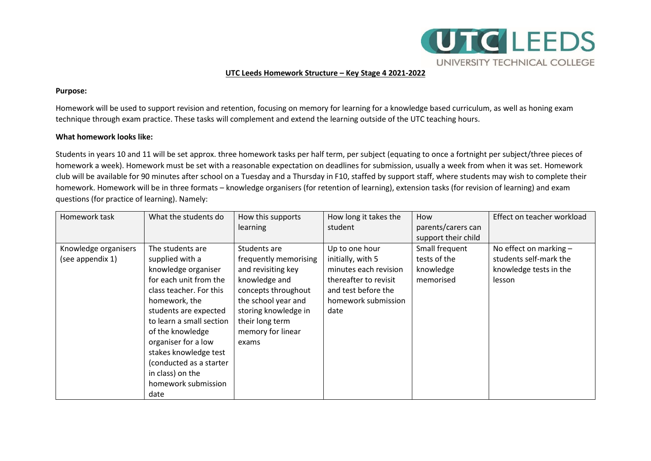

## **UTC Leeds Homework Structure – Key Stage 4 2021-2022**

#### **Purpose:**

Homework will be used to support revision and retention, focusing on memory for learning for a knowledge based curriculum, as well as honing exam technique through exam practice. These tasks will complement and extend the learning outside of the UTC teaching hours.

### **What homework looks like:**

Students in years 10 and 11 will be set approx. three homework tasks per half term, per subject (equating to once a fortnight per subject/three pieces of homework a week). Homework must be set with a reasonable expectation on deadlines for submission, usually a week from when it was set. Homework club will be available for 90 minutes after school on a Tuesday and a Thursday in F10, staffed by support staff, where students may wish to complete their homework. Homework will be in three formats – knowledge organisers (for retention of learning), extension tasks (for revision of learning) and exam questions (for practice of learning). Namely:

| Homework task        | What the students do     | How this supports     | How long it takes the | How                 | Effect on teacher workload |
|----------------------|--------------------------|-----------------------|-----------------------|---------------------|----------------------------|
|                      |                          | <b>learning</b>       | student               | parents/carers can  |                            |
|                      |                          |                       |                       | support their child |                            |
| Knowledge organisers | The students are         | Students are          | Up to one hour        | Small frequent      | No effect on marking -     |
| (see appendix 1)     | supplied with a          | frequently memorising | initially, with 5     | tests of the        | students self-mark the     |
|                      | knowledge organiser      | and revisiting key    | minutes each revision | knowledge           | knowledge tests in the     |
|                      | for each unit from the   | knowledge and         | thereafter to revisit | memorised           | lesson                     |
|                      | class teacher. For this  | concepts throughout   | and test before the   |                     |                            |
|                      | homework, the            | the school year and   | homework submission   |                     |                            |
|                      | students are expected    | storing knowledge in  | date                  |                     |                            |
|                      | to learn a small section | their long term       |                       |                     |                            |
|                      | of the knowledge         | memory for linear     |                       |                     |                            |
|                      | organiser for a low      | exams                 |                       |                     |                            |
|                      | stakes knowledge test    |                       |                       |                     |                            |
|                      | (conducted as a starter  |                       |                       |                     |                            |
|                      | in class) on the         |                       |                       |                     |                            |
|                      | homework submission      |                       |                       |                     |                            |
|                      | date                     |                       |                       |                     |                            |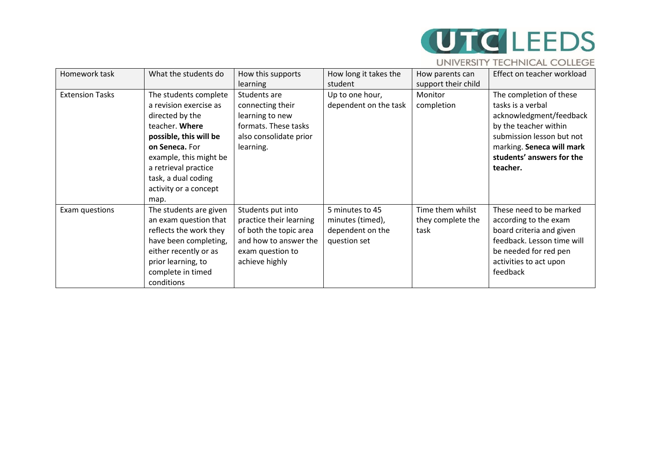# **UTC** LEEDS

## UNIVERSITY TECHNICAL COLLEGE

| Homework task          | What the students do   | How this supports       | How long it takes the | How parents can     | Effect on teacher workload |
|------------------------|------------------------|-------------------------|-----------------------|---------------------|----------------------------|
|                        |                        | <b>learning</b>         | student               | support their child |                            |
| <b>Extension Tasks</b> | The students complete  | Students are            | Up to one hour,       | Monitor             | The completion of these    |
|                        | a revision exercise as | connecting their        | dependent on the task | completion          | tasks is a verbal          |
|                        | directed by the        | learning to new         |                       |                     | acknowledgment/feedback    |
|                        | teacher. Where         | formats. These tasks    |                       |                     | by the teacher within      |
|                        | possible, this will be | also consolidate prior  |                       |                     | submission lesson but not  |
|                        | on Seneca. For         | learning.               |                       |                     | marking. Seneca will mark  |
|                        | example, this might be |                         |                       |                     | students' answers for the  |
|                        | a retrieval practice   |                         |                       |                     | teacher.                   |
|                        | task, a dual coding    |                         |                       |                     |                            |
|                        | activity or a concept  |                         |                       |                     |                            |
|                        | map.                   |                         |                       |                     |                            |
| Exam questions         | The students are given | Students put into       | 5 minutes to 45       | Time them whilst    | These need to be marked    |
|                        | an exam question that  | practice their learning | minutes (timed),      | they complete the   | according to the exam      |
|                        | reflects the work they | of both the topic area  | dependent on the      | task                | board criteria and given   |
|                        | have been completing,  | and how to answer the   | question set          |                     | feedback. Lesson time will |
|                        | either recently or as  | exam question to        |                       |                     | be needed for red pen      |
|                        | prior learning, to     | achieve highly          |                       |                     | activities to act upon     |
|                        | complete in timed      |                         |                       |                     | feedback                   |
|                        | conditions             |                         |                       |                     |                            |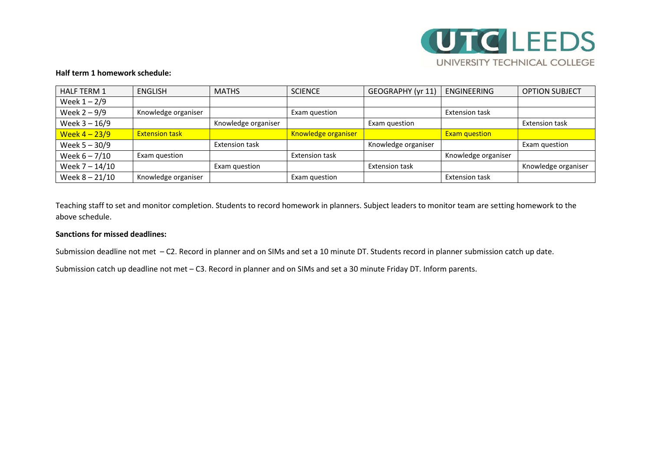

#### **Half term 1 homework schedule:**

| <b>HALF TERM 1</b> | <b>ENGLISH</b>        | <b>MATHS</b>          | <b>SCIENCE</b>        | GEOGRAPHY (yr 11)     | <b>ENGINEERING</b>    | <b>OPTION SUBJECT</b> |
|--------------------|-----------------------|-----------------------|-----------------------|-----------------------|-----------------------|-----------------------|
| Week $1 - 2/9$     |                       |                       |                       |                       |                       |                       |
| Week $2 - 9/9$     | Knowledge organiser   |                       | Exam question         |                       | <b>Extension task</b> |                       |
| Week 3 - 16/9      |                       | Knowledge organiser   |                       | Exam question         |                       | <b>Extension task</b> |
| Week $4 - 23/9$    | <b>Extension task</b> |                       | Knowledge organiser   |                       | <b>Exam question</b>  |                       |
| Week $5 - 30/9$    |                       | <b>Extension task</b> |                       | Knowledge organiser   |                       | Exam question         |
| Week $6 - 7/10$    | Exam question         |                       | <b>Extension task</b> |                       | Knowledge organiser   |                       |
| Week 7 - 14/10     |                       | Exam question         |                       | <b>Extension task</b> |                       | Knowledge organiser   |
| Week $8 - 21/10$   | Knowledge organiser   |                       | Exam question         |                       | <b>Extension task</b> |                       |

Teaching staff to set and monitor completion. Students to record homework in planners. Subject leaders to monitor team are setting homework to the above schedule.

## **Sanctions for missed deadlines:**

Submission deadline not met – C2. Record in planner and on SIMs and set a 10 minute DT. Students record in planner submission catch up date.

Submission catch up deadline not met – C3. Record in planner and on SIMs and set a 30 minute Friday DT. Inform parents.